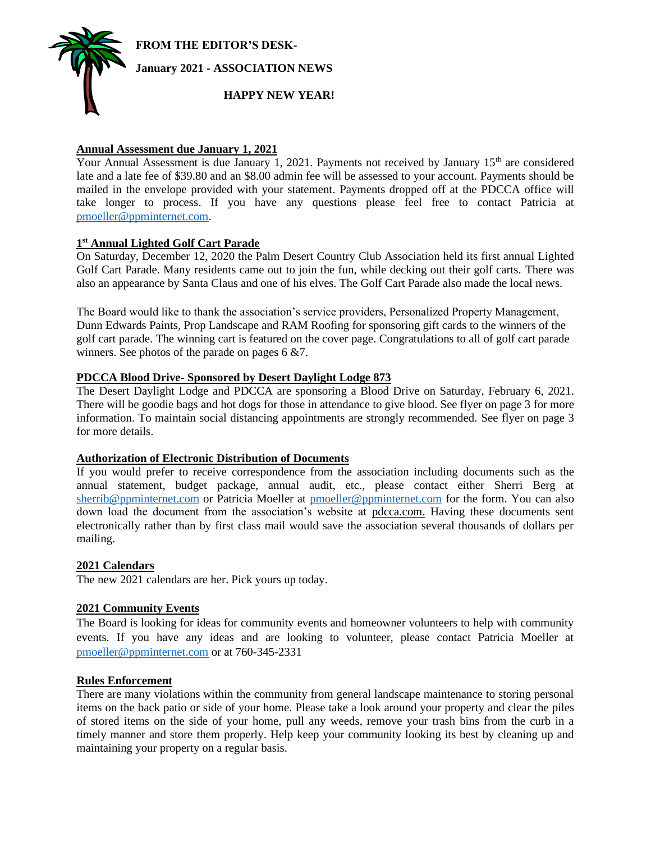**FROM THE EDITOR'S DESK-**



# **Annual Assessment due January 1, 2021**

Your Annual Assessment is due January 1, 2021. Payments not received by January  $15<sup>th</sup>$  are considered late and a late fee of \$39.80 and an \$8.00 admin fee will be assessed to your account. Payments should be mailed in the envelope provided with your statement. Payments dropped off at the PDCCA office will take longer to process. If you have any questions please feel free to contact Patricia at [pmoeller@ppminternet.com.](mailto:pmoeller@ppminternet.com)

# **1 st Annual Lighted Golf Cart Parade**

On Saturday, December 12, 2020 the Palm Desert Country Club Association held its first annual Lighted Golf Cart Parade. Many residents came out to join the fun, while decking out their golf carts. There was also an appearance by Santa Claus and one of his elves. The Golf Cart Parade also made the local news.

The Board would like to thank the association's service providers, Personalized Property Management, Dunn Edwards Paints, Prop Landscape and RAM Roofing for sponsoring gift cards to the winners of the golf cart parade. The winning cart is featured on the cover page. Congratulations to all of golf cart parade winners. See photos of the parade on pages 6 &7.

### **PDCCA Blood Drive- Sponsored by Desert Daylight Lodge 873**

The Desert Daylight Lodge and PDCCA are sponsoring a Blood Drive on Saturday, February 6, 2021. There will be goodie bags and hot dogs for those in attendance to give blood. See flyer on page 3 for more information. To maintain social distancing appointments are strongly recommended. See flyer on page 3 for more details.

### **Authorization of Electronic Distribution of Documents**

If you would prefer to receive correspondence from the association including documents such as the annual statement, budget package, annual audit, etc., please contact either Sherri Berg at [sherrib@ppminternet.com](mailto:sherrib@ppminternet.com) or Patricia Moeller at [pmoeller@ppminternet.com](mailto:pmoeller@ppminternet.com) for the form. You can also down load the document from the association's website at pdcca.com. Having these documents sent electronically rather than by first class mail would save the association several thousands of dollars per mailing.

### **2021 Calendars**

The new 2021 calendars are her. Pick yours up today.

# **2021 Community Events**

The Board is looking for ideas for community events and homeowner volunteers to help with community events. If you have any ideas and are looking to volunteer, please contact Patricia Moeller at [pmoeller@ppminternet.com](mailto:pmoeller@ppminternet.com) or at 760-345-2331

### **Rules Enforcement**

There are many violations within the community from general landscape maintenance to storing personal items on the back patio or side of your home. Please take a look around your property and clear the piles of stored items on the side of your home, pull any weeds, remove your trash bins from the curb in a timely manner and store them properly. Help keep your community looking its best by cleaning up and maintaining your property on a regular basis.